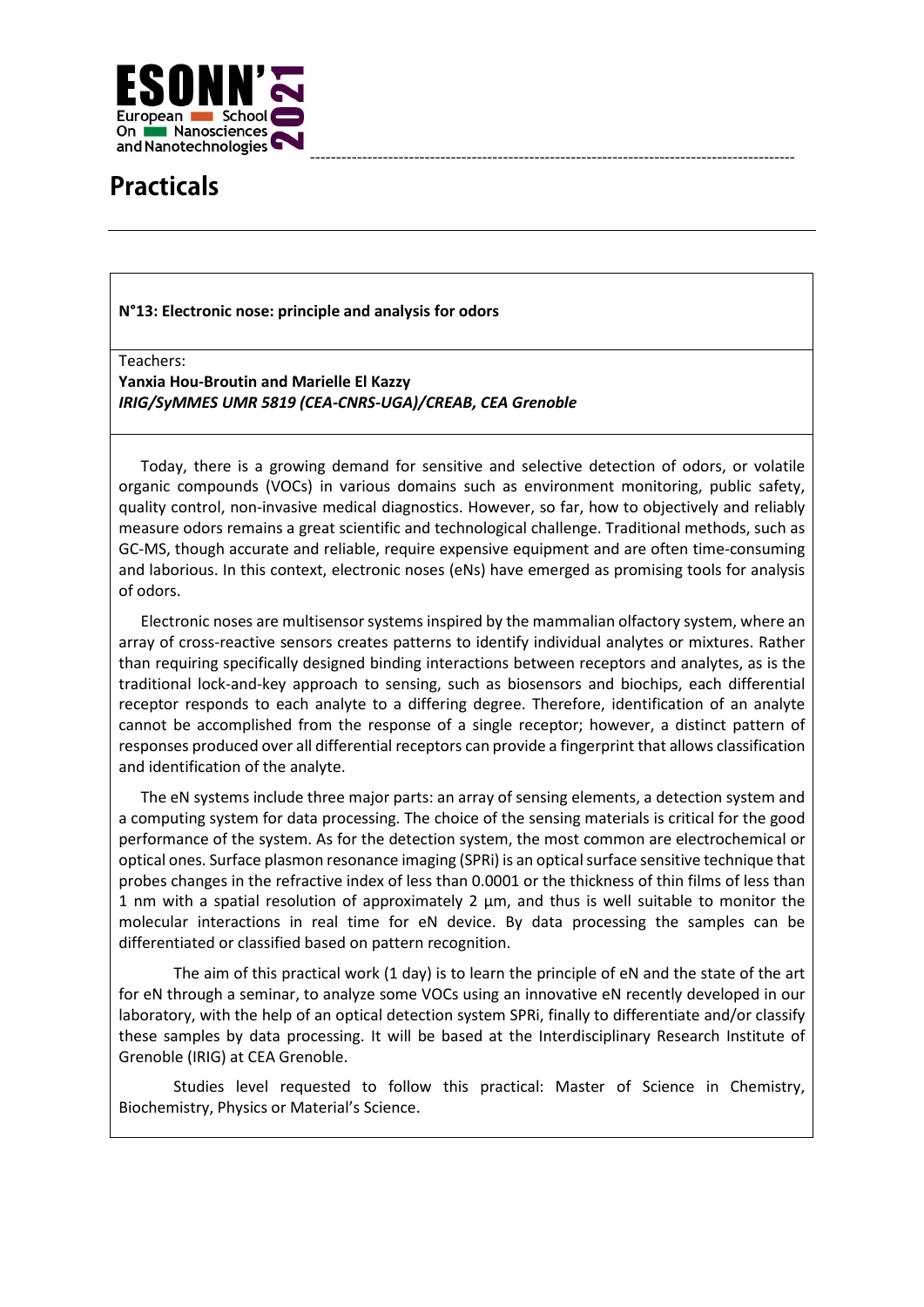

## **Practicals**

## **N°13: Electronic nose: principle and analysis for odors**

Teachers:

**Yanxia Hou-Broutin and Marielle El Kazzy** *IRIG/SyMMES UMR 5819 (CEA-CNRS-UGA)/CREAB, CEA Grenoble*

Today, there is a growing demand for sensitive and selective detection of odors, or volatile organic compounds (VOCs) in various domains such as environment monitoring, public safety, quality control, non-invasive medical diagnostics. However, so far, how to objectively and reliably measure odors remains a great scientific and technological challenge. Traditional methods, such as GC-MS, though accurate and reliable, require expensive equipment and are often time-consuming and laborious. In this context, electronic noses (eNs) have emerged as promising tools for analysis of odors.

Electronic noses are multisensor systems inspired by the mammalian olfactory system, where an array of cross-reactive sensors creates patterns to identify individual analytes or mixtures. Rather than requiring specifically designed binding interactions between receptors and analytes, as is the traditional lock-and-key approach to sensing, such as biosensors and biochips, each differential receptor responds to each analyte to a differing degree. Therefore, identification of an analyte cannot be accomplished from the response of a single receptor; however, a distinct pattern of responses produced over all differential receptors can provide a fingerprint that allows classification and identification of the analyte.

The eN systems include three major parts: an array of sensing elements, a detection system and a computing system for data processing. The choice of the sensing materials is critical for the good performance of the system. As for the detection system, the most common are electrochemical or optical ones. Surface plasmon resonance imaging (SPRi) is an optical surface sensitive technique that probes changes in the refractive index of less than 0.0001 or the thickness of thin films of less than 1 nm with a spatial resolution of approximately 2 µm, and thus is well suitable to monitor the molecular interactions in real time for eN device. By data processing the samples can be differentiated or classified based on pattern recognition.

The aim of this practical work (1 day) is to learn the principle of eN and the state of the art for eN through a seminar, to analyze some VOCs using an innovative eN recently developed in our laboratory, with the help of an optical detection system SPRi, finally to differentiate and/or classify these samples by data processing. It will be based at the Interdisciplinary Research Institute of Grenoble (IRIG) at CEA Grenoble.

Studies level requested to follow this practical: Master of Science in Chemistry, Biochemistry, Physics or Material's Science.